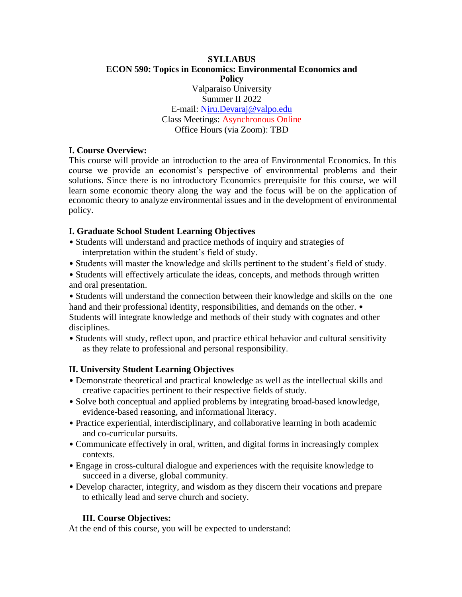#### **SYLLABUS ECON 590: Topics in Economics: Environmental Economics and Policy** Valparaiso University Summer II 2022 E-mail: Niru.Devaraj@valpo.edu Class Meetings: Asynchronous Online Office Hours (via Zoom): TBD

## **I. Course Overview:**

This course will provide an introduction to the area of Environmental Economics. In this course we provide an economist's perspective of environmental problems and their solutions. Since there is no introductory Economics prerequisite for this course, we will learn some economic theory along the way and the focus will be on the application of economic theory to analyze environmental issues and in the development of environmental policy.

## **I. Graduate School Student Learning Objectives**

- Students will understand and practice methods of inquiry and strategies of interpretation within the student's field of study.
- Students will master the knowledge and skills pertinent to the student's field of study.
- Students will effectively articulate the ideas, concepts, and methods through written and oral presentation.
- Students will understand the connection between their knowledge and skills on the one hand and their professional identity, responsibilities, and demands on the other. • Students will integrate knowledge and methods of their study with cognates and other disciplines.
- Students will study, reflect upon, and practice ethical behavior and cultural sensitivity as they relate to professional and personal responsibility.

# **II. University Student Learning Objectives**

- Demonstrate theoretical and practical knowledge as well as the intellectual skills and creative capacities pertinent to their respective fields of study.
- Solve both conceptual and applied problems by integrating broad-based knowledge, evidence-based reasoning, and informational literacy.
- Practice experiential, interdisciplinary, and collaborative learning in both academic and co-curricular pursuits.
- Communicate effectively in oral, written, and digital forms in increasingly complex contexts.
- Engage in cross-cultural dialogue and experiences with the requisite knowledge to succeed in a diverse, global community.
- Develop character, integrity, and wisdom as they discern their vocations and prepare to ethically lead and serve church and society.

# **III. Course Objectives:**

At the end of this course, you will be expected to understand: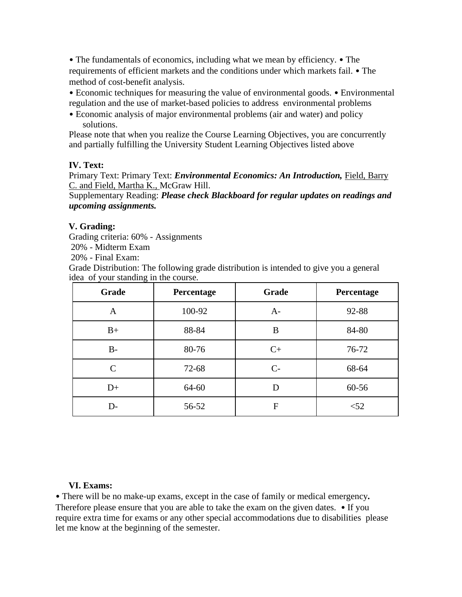• The fundamentals of economics, including what we mean by efficiency. • The requirements of efficient markets and the conditions under which markets fail. • The method of cost-benefit analysis.

• Economic techniques for measuring the value of environmental goods. • Environmental regulation and the use of market-based policies to address environmental problems

• Economic analysis of major environmental problems (air and water) and policy solutions.

Please note that when you realize the Course Learning Objectives, you are concurrently and partially fulfilling the University Student Learning Objectives listed above

## **IV. Text:**

Primary Text: Primary Text: *Environmental Economics: An Introduction,* Field, Barry C. and Field, Martha K., McGraw Hill.

Supplementary Reading: *Please check Blackboard for regular updates on readings and upcoming assignments.* 

## **V. Grading:**

Grading criteria: 60% - Assignments

20% - Midterm Exam

20% - Final Exam:

Grade Distribution: The following grade distribution is intended to give you a general idea of your standing in the course.

| Grade        | Percentage | Grade        | Percentage |
|--------------|------------|--------------|------------|
| A            | 100-92     | $A-$         | 92-88      |
| $B+$         | 88-84      | B            | 84-80      |
| $B -$        | 80-76      | $C+$         | 76-72      |
| $\mathsf{C}$ | 72-68      | $C-$         | 68-64      |
| $D+$         | 64-60      | D            | 60-56      |
| D-           | 56-52      | $\mathbf{F}$ | $<$ 52     |

#### **VI. Exams:**

• There will be no make-up exams, except in the case of family or medical emergency*.*  Therefore please ensure that you are able to take the exam on the given dates. • If you require extra time for exams or any other special accommodations due to disabilities please let me know at the beginning of the semester.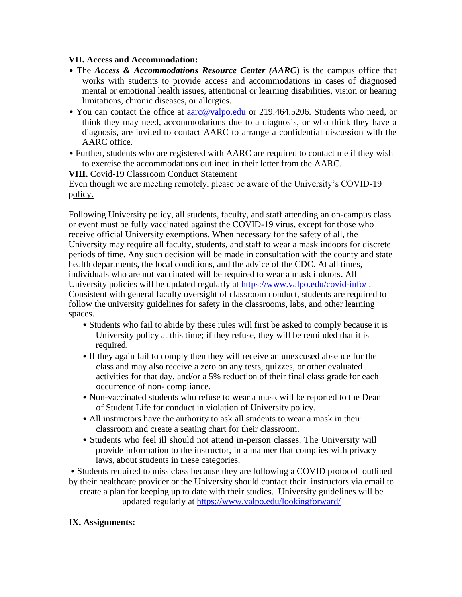#### **VII. Access and Accommodation:**

- The *Access & Accommodations Resource Center (AARC*) is the campus office that works with students to provide access and accommodations in cases of diagnosed mental or emotional health issues, attentional or learning disabilities, vision or hearing limitations, chronic diseases, or allergies.
- You can contact the office at **aarc@valpo.edu** or 219.464.5206. Students who need, or think they may need, accommodations due to a diagnosis, or who think they have a diagnosis, are invited to contact AARC to arrange a confidential discussion with the AARC office.
- Further, students who are registered with AARC are required to contact me if they wish to exercise the accommodations outlined in their letter from the AARC.

**VIII.** Covid-19 Classroom Conduct Statement

Even though we are meeting remotely, please be aware of the University's COVID-19 policy.

Following University policy, all students, faculty, and staff attending an on-campus class or event must be fully vaccinated against the COVID-19 virus, except for those who receive official University exemptions. When necessary for the safety of all, the University may require all faculty, students, and staff to wear a mask indoors for discrete periods of time. Any such decision will be made in consultation with the county and state health departments, the local conditions, and the advice of the CDC. At all times, individuals who are not vaccinated will be required to wear a mask indoors. All University policies will be updated regularly at https://www.valpo.edu/covid-info/ . Consistent with general faculty oversight of classroom conduct, students are required to follow the university guidelines for safety in the classrooms, labs, and other learning spaces.

- Students who fail to abide by these rules will first be asked to comply because it is University policy at this time; if they refuse, they will be reminded that it is required.
- If they again fail to comply then they will receive an unexcused absence for the class and may also receive a zero on any tests, quizzes, or other evaluated activities for that day, and/or a 5% reduction of their final class grade for each occurrence of non- compliance.
- Non-vaccinated students who refuse to wear a mask will be reported to the Dean of Student Life for conduct in violation of University policy.
- All instructors have the authority to ask all students to wear a mask in their classroom and create a seating chart for their classroom.
- Students who feel ill should not attend in-person classes. The University will provide information to the instructor, in a manner that complies with privacy laws, about students in these categories.

• Students required to miss class because they are following a COVID protocol outlined by their healthcare provider or the University should contact their instructors via email to create a plan for keeping up to date with their studies. University guidelines will be updated regularly at https://www.valpo.edu/lookingforward/

#### **IX. Assignments:**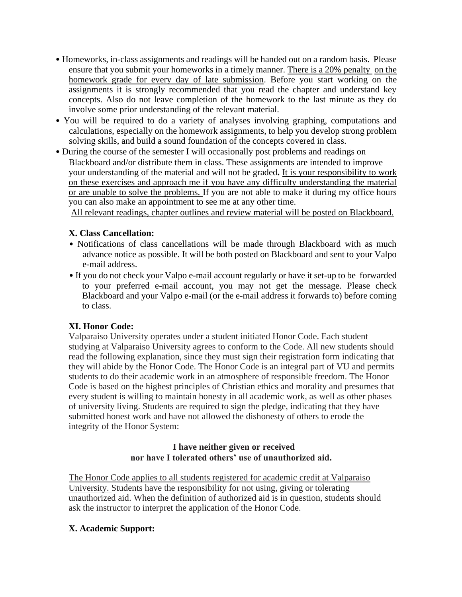- Homeworks, in-class assignments and readings will be handed out on a random basis. Please ensure that you submit your homeworks in a timely manner. There is a 20% penalty on the homework grade for every day of late submission. Before you start working on the assignments it is strongly recommended that you read the chapter and understand key concepts. Also do not leave completion of the homework to the last minute as they do involve some prior understanding of the relevant material.
- You will be required to do a variety of analyses involving graphing, computations and calculations, especially on the homework assignments, to help you develop strong problem solving skills, and build a sound foundation of the concepts covered in class.
- During the course of the semester I will occasionally post problems and readings on Blackboard and/or distribute them in class. These assignments are intended to improve your understanding of the material and will not be graded**.** It is your responsibility to work on these exercises and approach me if you have any difficulty understanding the material or are unable to solve the problems. If you are not able to make it during my office hours you can also make an appointment to see me at any other time.

All relevant readings, chapter outlines and review material will be posted on Blackboard.

# **X. Class Cancellation:**

- Notifications of class cancellations will be made through Blackboard with as much advance notice as possible. It will be both posted on Blackboard and sent to your Valpo e-mail address.
- If you do not check your Valpo e-mail account regularly or have it set-up to be forwarded to your preferred e-mail account, you may not get the message. Please check Blackboard and your Valpo e-mail (or the e-mail address it forwards to) before coming to class.

# **XI. Honor Code:**

Valparaiso University operates under a student initiated Honor Code. Each student studying at Valparaiso University agrees to conform to the Code. All new students should read the following explanation, since they must sign their registration form indicating that they will abide by the Honor Code. The Honor Code is an integral part of VU and permits students to do their academic work in an atmosphere of responsible freedom. The Honor Code is based on the highest principles of Christian ethics and morality and presumes that every student is willing to maintain honesty in all academic work, as well as other phases of university living. Students are required to sign the pledge, indicating that they have submitted honest work and have not allowed the dishonesty of others to erode the integrity of the Honor System:

# **I have neither given or received nor have I tolerated others' use of unauthorized aid.**

The Honor Code applies to all students registered for academic credit at Valparaiso University. Students have the responsibility for not using, giving or tolerating unauthorized aid. When the definition of authorized aid is in question, students should ask the instructor to interpret the application of the Honor Code.

# **X. Academic Support:**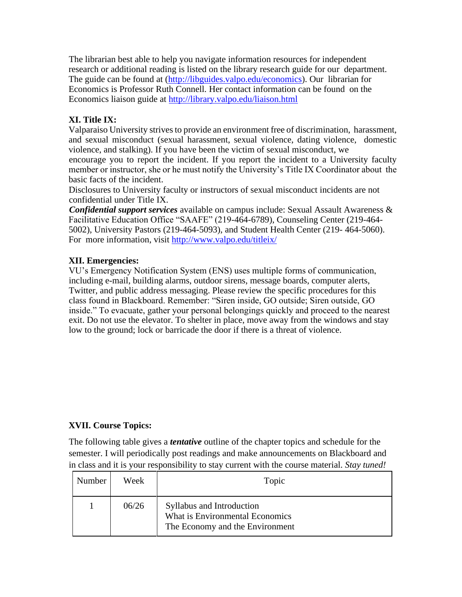The librarian best able to help you navigate information resources for independent research or additional reading is listed on the library research guide for our department. The guide can be found at (http://libguides.valpo.edu/economics). Our librarian for Economics is Professor Ruth Connell*.* Her contact information can be found on the Economics liaison guide at http://library.valpo.edu/liaison.html

# **XI. Title IX:**

Valparaiso University strives to provide an environment free of discrimination, harassment, and sexual misconduct (sexual harassment, sexual violence, dating violence, domestic violence, and stalking). If you have been the victim of sexual misconduct, we encourage you to report the incident. If you report the incident to a University faculty member or instructor, she or he must notify the University's Title IX Coordinator about the basic facts of the incident.

Disclosures to University faculty or instructors of sexual misconduct incidents are not confidential under Title IX.

*Confidential support services* available on campus include: Sexual Assault Awareness & Facilitative Education Office "SAAFE" (219-464-6789), Counseling Center (219-464- 5002), University Pastors (219-464-5093), and Student Health Center (219- 464-5060). For more information, visit http://www.valpo.edu/titleix/

# **XII. Emergencies:**

VU's Emergency Notification System (ENS) uses multiple forms of communication, including e-mail, building alarms, outdoor sirens, message boards, computer alerts, Twitter, and public address messaging. Please review the specific procedures for this class found in Blackboard. Remember: "Siren inside, GO outside; Siren outside, GO inside." To evacuate, gather your personal belongings quickly and proceed to the nearest exit. Do not use the elevator. To shelter in place, move away from the windows and stay low to the ground; lock or barricade the door if there is a threat of violence.

# **XVII. Course Topics:**

The following table gives a *tentative* outline of the chapter topics and schedule for the semester. I will periodically post readings and make announcements on Blackboard and in class and it is your responsibility to stay current with the course material. *Stay tuned!*

| Number | Week  | Topic                                                                                           |
|--------|-------|-------------------------------------------------------------------------------------------------|
|        | 06/26 | Syllabus and Introduction<br>What is Environmental Economics<br>The Economy and the Environment |